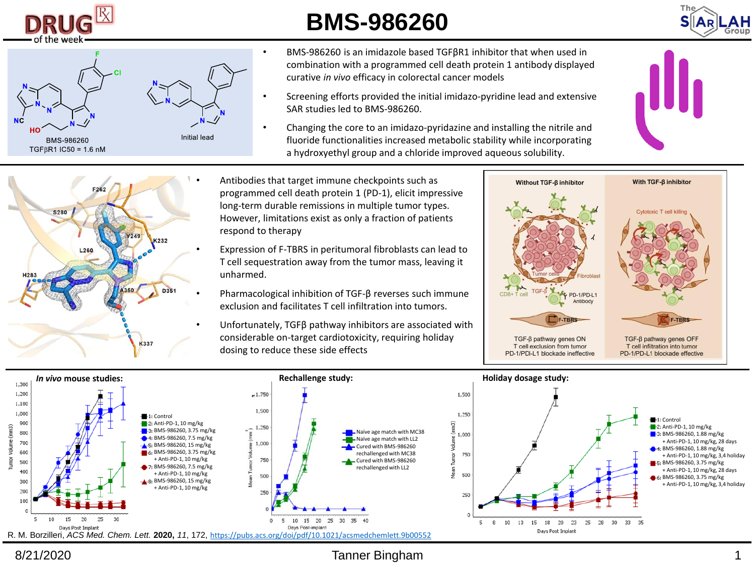

## **BMS-986260**





• BMS-986260 is an imidazole based TGFβR1 inhibitor that when used in combination with a programmed cell death protein 1 antibody displayed curative *in vivo* efficacy in colorectal cancer models

- Screening efforts provided the initial imidazo-pyridine lead and extensive SAR studies led to BMS-986260.
- Changing the core to an imidazo-pyridazine and installing the nitrile and fluoride functionalities increased metabolic stability while incorporating a hydroxyethyl group and a chloride improved aqueous solubility.





- Antibodies that target immune checkpoints such as programmed cell death protein 1 (PD-1), elicit impressive long-term durable remissions in multiple tumor types. However, limitations exist as only a fraction of patients respond to therapy
- Expression of F-TBRS in peritumoral fibroblasts can lead to T cell sequestration away from the tumor mass, leaving it unharmed.
- Pharmacological inhibition of TGF-β reverses such immune exclusion and facilitates T cell infiltration into tumors.
- Unfortunately, TGFβ pathway inhibitors are associated with considerable on-target cardiotoxicity, requiring holiday dosing to reduce these side effects





8/21/2020 Tanner Bingham 1